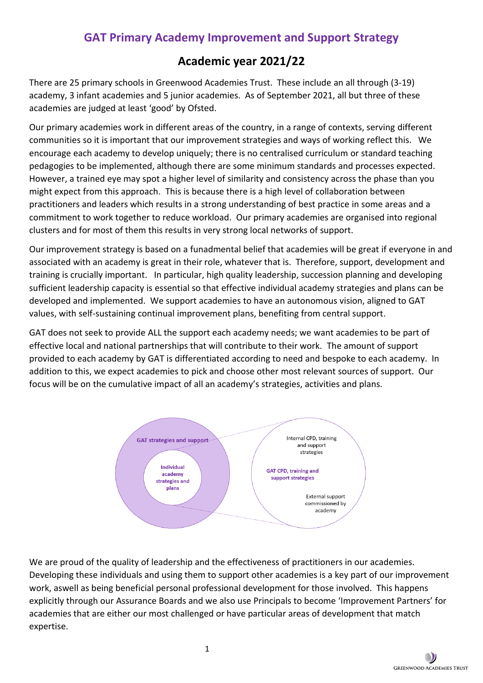# **GAT Primary Academy Improvement and Support Strategy**

# **Academic year 2021/22**

There are 25 primary schools in Greenwood Academies Trust. These include an all through (3-19) academy, 3 infant academies and 5 junior academies. As of September 2021, all but three of these academies are judged at least 'good' by Ofsted.

Our primary academies work in different areas of the country, in a range of contexts, serving different communities so it is important that our improvement strategies and ways of working reflect this. We encourage each academy to develop uniquely; there is no centralised curriculum or standard teaching pedagogies to be implemented, although there are some minimum standards and processes expected. However, a trained eye may spot a higher level of similarity and consistency across the phase than you might expect from this approach. This is because there is a high level of collaboration between practitioners and leaders which results in a strong understanding of best practice in some areas and a commitment to work together to reduce workload. Our primary academies are organised into regional clusters and for most of them this results in very strong local networks of support.

Our improvement strategy is based on a funadmental belief that academies will be great if everyone in and associated with an academy is great in their role, whatever that is. Therefore, support, development and training is crucially important. In particular, high quality leadership, succession planning and developing sufficient leadership capacity is essential so that effective individual academy strategies and plans can be developed and implemented. We support academies to have an autonomous vision, aligned to GAT values, with self-sustaining continual improvement plans, benefiting from central support.

GAT does not seek to provide ALL the support each academy needs; we want academies to be part of effective local and national partnerships that will contribute to their work. The amount of support provided to each academy by GAT is differentiated according to need and bespoke to each academy. In addition to this, we expect academies to pick and choose other most relevant sources of support. Our focus will be on the cumulative impact of all an academy's strategies, activities and plans.



We are proud of the quality of leadership and the effectiveness of practitioners in our academies. Developing these individuals and using them to support other academies is a key part of our improvement work, aswell as being beneficial personal professional development for those involved. This happens explicitly through our Assurance Boards and we also use Principals to become 'Improvement Partners' for academies that are either our most challenged or have particular areas of development that match expertise.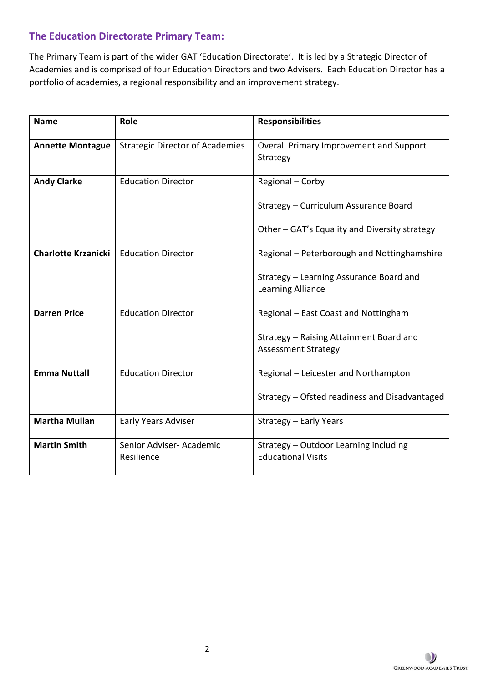## **The Education Directorate Primary Team:**

The Primary Team is part of the wider GAT 'Education Directorate'. It is led by a Strategic Director of Academies and is comprised of four Education Directors and two Advisers. Each Education Director has a portfolio of academies, a regional responsibility and an improvement strategy.

| <b>Name</b>                | Role                                   | <b>Responsibilities</b>                                               |  |
|----------------------------|----------------------------------------|-----------------------------------------------------------------------|--|
| <b>Annette Montague</b>    | <b>Strategic Director of Academies</b> | Overall Primary Improvement and Support<br>Strategy                   |  |
| <b>Andy Clarke</b>         | <b>Education Director</b>              | Regional - Corby                                                      |  |
|                            |                                        | Strategy - Curriculum Assurance Board                                 |  |
|                            |                                        | Other – GAT's Equality and Diversity strategy                         |  |
| <b>Charlotte Krzanicki</b> | <b>Education Director</b>              | Regional - Peterborough and Nottinghamshire                           |  |
|                            |                                        | Strategy - Learning Assurance Board and<br>Learning Alliance          |  |
| <b>Darren Price</b>        | <b>Education Director</b>              | Regional - East Coast and Nottingham                                  |  |
|                            |                                        | Strategy - Raising Attainment Board and<br><b>Assessment Strategy</b> |  |
| <b>Emma Nuttall</b>        | <b>Education Director</b>              | Regional - Leicester and Northampton                                  |  |
|                            |                                        | Strategy - Ofsted readiness and Disadvantaged                         |  |
| <b>Martha Mullan</b>       | <b>Early Years Adviser</b>             | Strategy - Early Years                                                |  |
| <b>Martin Smith</b>        | Senior Adviser- Academic<br>Resilience | Strategy - Outdoor Learning including<br><b>Educational Visits</b>    |  |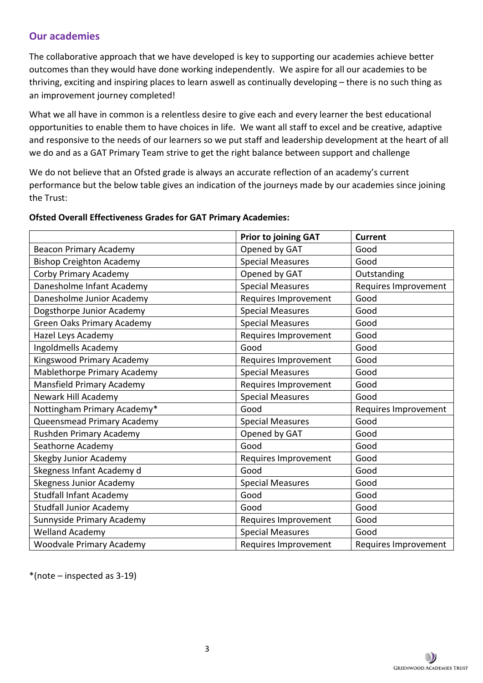## **Our academies**

The collaborative approach that we have developed is key to supporting our academies achieve better outcomes than they would have done working independently. We aspire for all our academies to be thriving, exciting and inspiring places to learn aswell as continually developing – there is no such thing as an improvement journey completed!

What we all have in common is a relentless desire to give each and every learner the best educational opportunities to enable them to have choices in life. We want all staff to excel and be creative, adaptive and responsive to the needs of our learners so we put staff and leadership development at the heart of all we do and as a GAT Primary Team strive to get the right balance between support and challenge

We do not believe that an Ofsted grade is always an accurate reflection of an academy's current performance but the below table gives an indication of the journeys made by our academies since joining the Trust:

|                                   | <b>Prior to joining GAT</b> | <b>Current</b>       |
|-----------------------------------|-----------------------------|----------------------|
| <b>Beacon Primary Academy</b>     | Opened by GAT               | Good                 |
| <b>Bishop Creighton Academy</b>   | <b>Special Measures</b>     | Good                 |
| <b>Corby Primary Academy</b>      | Opened by GAT               | Outstanding          |
| Danesholme Infant Academy         | <b>Special Measures</b>     | Requires Improvement |
| Danesholme Junior Academy         | Requires Improvement        | Good                 |
| Dogsthorpe Junior Academy         | <b>Special Measures</b>     | Good                 |
| <b>Green Oaks Primary Academy</b> | <b>Special Measures</b>     | Good                 |
| Hazel Leys Academy                | Requires Improvement        | Good                 |
| Ingoldmells Academy               | Good                        | Good                 |
| Kingswood Primary Academy         | Requires Improvement        | Good                 |
| Mablethorpe Primary Academy       | <b>Special Measures</b>     | Good                 |
| Mansfield Primary Academy         | Requires Improvement        | Good                 |
| Newark Hill Academy               | <b>Special Measures</b>     | Good                 |
| Nottingham Primary Academy*       | Good                        | Requires Improvement |
| Queensmead Primary Academy        | <b>Special Measures</b>     | Good                 |
| Rushden Primary Academy           | Opened by GAT               | Good                 |
| Seathorne Academy                 | Good                        | Good                 |
| <b>Skegby Junior Academy</b>      | Requires Improvement        | Good                 |
| Skegness Infant Academy d         | Good                        | Good                 |
| <b>Skegness Junior Academy</b>    | <b>Special Measures</b>     | Good                 |
| <b>Studfall Infant Academy</b>    | Good                        | Good                 |
| <b>Studfall Junior Academy</b>    | Good                        | Good                 |
| Sunnyside Primary Academy         | Requires Improvement        | Good                 |
| <b>Welland Academy</b>            | <b>Special Measures</b>     | Good                 |
| <b>Woodvale Primary Academy</b>   | Requires Improvement        | Requires Improvement |

#### **Ofsted Overall Effectiveness Grades for GAT Primary Academies:**

\*(note – inspected as 3-19)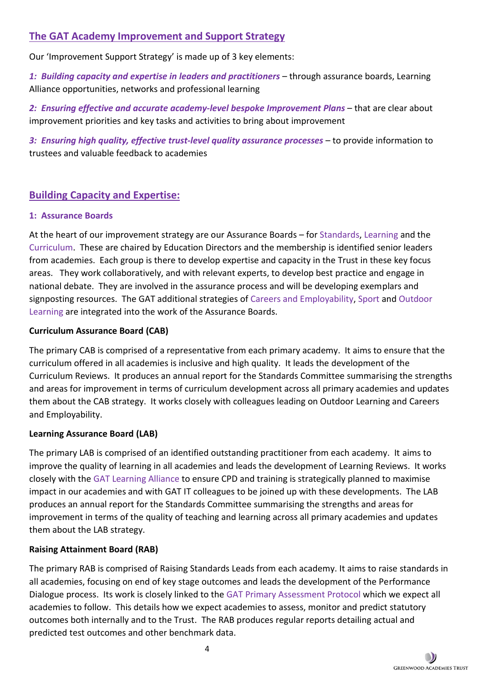## **The GAT Academy Improvement and Support Strategy**

Our 'Improvement Support Strategy' is made up of 3 key elements:

*1: Building capacity and expertise in leaders and practitioners* – through assurance boards, Learning Alliance opportunities, networks and professional learning

*2: Ensuring effective and accurate academy-level bespoke Improvement Plans* – that are clear about improvement priorities and key tasks and activities to bring about improvement

*3: Ensuring high quality, effective trust-level quality assurance processes* – to provide information to trustees and valuable feedback to academies

## **Building Capacity and Expertise:**

## **1: Assurance Boards**

At the heart of our improvement strategy are our Assurance Boards – for Standards, Learning and the Curriculum. These are chaired by Education Directors and the membership is identified senior leaders from academies. Each group is there to develop expertise and capacity in the Trust in these key focus areas. They work collaboratively, and with relevant experts, to develop best practice and engage in national debate. They are involved in the assurance process and will be developing exemplars and signposting resources. The GAT additional strategies of Careers and Employability, Sport and Outdoor Learning are integrated into the work of the Assurance Boards.

## **Curriculum Assurance Board (CAB)**

The primary CAB is comprised of a representative from each primary academy. It aims to ensure that the curriculum offered in all academies is inclusive and high quality. It leads the development of the Curriculum Reviews. It produces an annual report for the Standards Committee summarising the strengths and areas for improvement in terms of curriculum development across all primary academies and updates them about the CAB strategy. It works closely with colleagues leading on Outdoor Learning and Careers and Employability.

## **Learning Assurance Board (LAB)**

The primary LAB is comprised of an identified outstanding practitioner from each academy. It aims to improve the quality of learning in all academies and leads the development of Learning Reviews. It works closely with the GAT Learning Alliance to ensure CPD and training is strategically planned to maximise impact in our academies and with GAT IT colleagues to be joined up with these developments. The LAB produces an annual report for the Standards Committee summarising the strengths and areas for improvement in terms of the quality of teaching and learning across all primary academies and updates them about the LAB strategy.

## **Raising Attainment Board (RAB)**

The primary RAB is comprised of Raising Standards Leads from each academy. It aims to raise standards in all academies, focusing on end of key stage outcomes and leads the development of the Performance Dialogue process. Its work is closely linked to the GAT Primary Assessment Protocol which we expect all academies to follow. This details how we expect academies to assess, monitor and predict statutory outcomes both internally and to the Trust. The RAB produces regular reports detailing actual and predicted test outcomes and other benchmark data.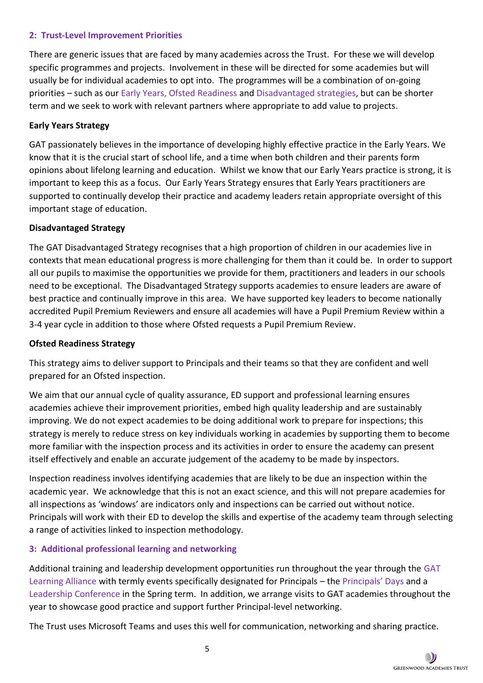#### **2: Trust-Level Improvement Priorities**

There are generic issues that are faced by many academies across the Trust. For these we will develop specific programmes and projects. Involvement in these will be directed for some academies but will usually be for individual academies to opt into. The programmes will be a combination of on-going priorities – such as our Early Years, Ofsted Readiness and Disadvantaged strategies, but can be shorter term and we seek to work with relevant partners where appropriate to add value to projects.

#### **Early Years Strategy**

GAT passionately believes in the importance of developing highly effective practice in the Early Years. We know that it is the crucial start of school life, and a time when both children and their parents form opinions about lifelong learning and education. Whilst we know that our Early Years practice is strong, it is important to keep this as a focus. Our Early Years Strategy ensures that Early Years practitioners are supported to continually develop their practice and academy leaders retain appropriate oversight of this important stage of education.

#### **Disadvantaged Strategy**

The GAT Disadvantaged Strategy recognises that a high proportion of children in our academies live in contexts that mean educational progress is more challenging for them than it could be. In order to support all our pupils to maximise the opportunities we provide for them, practitioners and leaders in our schools need to be exceptional. The Disadvantaged Strategy supports academies to ensure leaders are aware of best practice and continually improve in this area. We have supported key leaders to become nationally accredited Pupil Premium Reviewers and ensure all academies will have a Pupil Premium Review within a 3-4 year cycle in addition to those where Ofsted requests a Pupil Premium Review.

#### **Ofsted Readiness Strategy**

This strategy aims to deliver support to Principals and their teams so that they are confident and well prepared for an Ofsted inspection.

We aim that our annual cycle of quality assurance, ED support and professional learning ensures academies achieve their improvement priorities, embed high quality leadership and are sustainably improving. We do not expect academies to be doing additional work to prepare for inspections; this strategy is merely to reduce stress on key individuals working in academies by supporting them to become more familiar with the inspection process and its activities in order to ensure the academy can present itself effectively and enable an accurate judgement of the academy to be made by inspectors.

Inspection readiness involves identifying academies that are likely to be due an inspection within the academic year. We acknowledge that this is not an exact science, and this will not prepare academies for all inspections as 'windows' are indicators only and inspections can be carried out without notice. Principals will work with their ED to develop the skills and expertise of the academy team through selecting a range of activities linked to inspection methodology.

#### **3: Additional professional learning and networking**

Additional training and leadership development opportunities run throughout the year through the GAT Learning Alliance with termly events specifically designated for Principals – the Principals' Days and a Leadership Conference in the Spring term. In addition, we arrange visits to GAT academies throughout the year to showcase good practice and support further Principal-level networking.

The Trust uses Microsoft Teams and uses this well for communication, networking and sharing practice.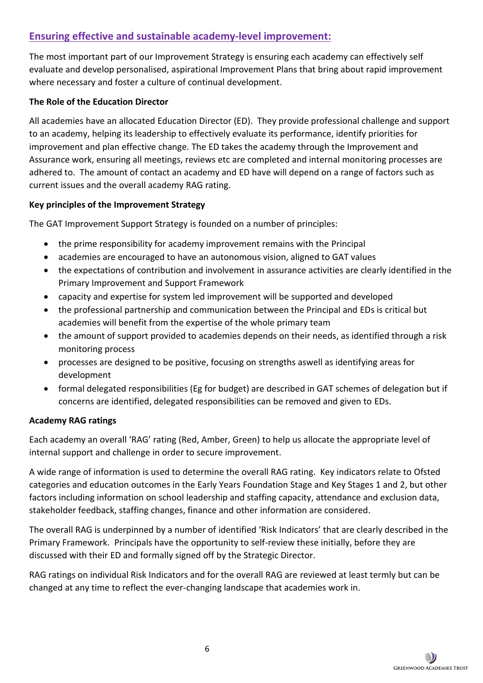## **Ensuring effective and sustainable academy-level improvement:**

The most important part of our Improvement Strategy is ensuring each academy can effectively self evaluate and develop personalised, aspirational Improvement Plans that bring about rapid improvement where necessary and foster a culture of continual development.

#### **The Role of the Education Director**

All academies have an allocated Education Director (ED). They provide professional challenge and support to an academy, helping its leadership to effectively evaluate its performance, identify priorities for improvement and plan effective change. The ED takes the academy through the Improvement and Assurance work, ensuring all meetings, reviews etc are completed and internal monitoring processes are adhered to. The amount of contact an academy and ED have will depend on a range of factors such as current issues and the overall academy RAG rating.

#### **Key principles of the Improvement Strategy**

The GAT Improvement Support Strategy is founded on a number of principles:

- the prime responsibility for academy improvement remains with the Principal
- academies are encouraged to have an autonomous vision, aligned to GAT values
- the expectations of contribution and involvement in assurance activities are clearly identified in the Primary Improvement and Support Framework
- capacity and expertise for system led improvement will be supported and developed
- the professional partnership and communication between the Principal and EDs is critical but academies will benefit from the expertise of the whole primary team
- the amount of support provided to academies depends on their needs, as identified through a risk monitoring process
- processes are designed to be positive, focusing on strengths aswell as identifying areas for development
- formal delegated responsibilities (Eg for budget) are described in GAT schemes of delegation but if concerns are identified, delegated responsibilities can be removed and given to EDs.

#### **Academy RAG ratings**

Each academy an overall 'RAG' rating (Red, Amber, Green) to help us allocate the appropriate level of internal support and challenge in order to secure improvement.

A wide range of information is used to determine the overall RAG rating. Key indicators relate to Ofsted categories and education outcomes in the Early Years Foundation Stage and Key Stages 1 and 2, but other factors including information on school leadership and staffing capacity, attendance and exclusion data, stakeholder feedback, staffing changes, finance and other information are considered.

The overall RAG is underpinned by a number of identified 'Risk Indicators' that are clearly described in the Primary Framework. Principals have the opportunity to self-review these initially, before they are discussed with their ED and formally signed off by the Strategic Director.

RAG ratings on individual Risk Indicators and for the overall RAG are reviewed at least termly but can be changed at any time to reflect the ever-changing landscape that academies work in.